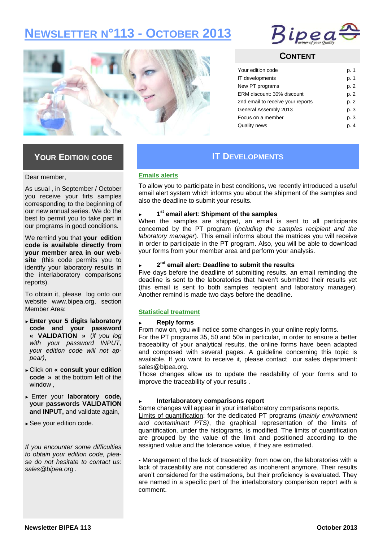# **NEWSLETTER N°113 - OCTOBER 2013**





### **CONTENT**

| Your edition code                 | p. 1 |
|-----------------------------------|------|
| IT developments                   | p. 1 |
| New PT programs                   | p. 2 |
| ERM discount: 30% discount        | p. 2 |
| 2nd email to receive your reports | p. 2 |
| General Assembly 2013             | p. 3 |
| Focus on a member                 | p. 3 |
| <b>Quality news</b>               | p. 4 |

### **YOUR EDITION CODE**

#### Dear member,

As usual , in September / October you receive your firts samples corresponding to the beginning of our new annual series. We do the best to permit you to take part in our programs in good conditions.

We remind you that **your edition code is available directly from your member area in our website** (this code permits you to identify your laboratory results in the interlaboratory comparisons reports).

To obtain it, please log onto our website www.bipea.org, section Member Area:

- ► **Enter your 5 digits laboratory code and your password « VALIDATION »** (*if you log with your password INPUT, your edition code will not appear)*,
- ► Click on **« consult your edition code »** at the bottom left of the window ,
- ► Enter your **laboratory code, your passwords VALIDATION and INPUT,** and validate again,
- ► See your edition code.

*If you encounter some difficulties to obtain your edition code, please do not hesitate to contact us: sales@bipea.org .* 

## **IT DEVELOPMENTS**

### **Emails alerts**

To allow you to participate in best conditions, we recently introduced a useful email alert system which informs you about the shipment of the samples and also the deadline to submit your results.

### ► **1 st email alert**: **Shipment of the samples**

When the samples are shipped, an email is sent to all participants concerned by the PT program (*including the samples recipient and the laboratory manager*). This email informs about the matrices you will receive in order to participate in the PT program. Also, you will be able to download your forms from your member area and perform your analysis.

### ► **2 nd email alert: Deadline to submit the results**

Five days before the deadline of submitting results, an email reminding the deadline is sent to the laboratories that haven't submitted their results yet (this email is sent to both samples recipient and laboratory manager). Another remind is made two days before the deadline.

### **Statistical treatment**

### ► **Reply forms**

From now on, you will notice some changes in your online reply forms.

For the PT programs 35, 50 and 50a in particular, in order to ensure a better traceability of your analytical results, the online forms have been adapted and composed with several pages. A guideline concerning this topic is available. If you want to receive it, please contact our sales department: sales@bipea.org.

Those changes allow us to update the readability of your forms and to improve the traceability of your results .

### ► **Interlaboratory comparisons report**

Some changes will appear in your interlaboratory comparisons reports.

Limits of quantification: for the dedicated PT programs (*mainly environment and contaminant PTS)*, the graphical representation of the limits of quantification, under the histograms, is modified. The limits of quantification are grouped by the value of the limit and positioned according to the assigned value and the tolerance value, if they are estimated.

- Management of the lack of traceability: from now on, the laboratories with a lack of traceability are not considered as incoherent anymore. Their results aren't considered for the estimations, but their proficiency is evaluated. They are named in a specific part of the interlaboratory comparison report with a comment.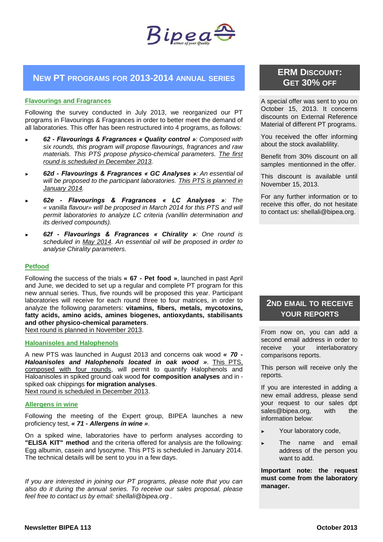

### **NEW PT PROGRAMS FOR 2013-2014 ANNUAL SERIES**

### **Flavourings and Fragrances**

Following the survey conducted in July 2013, we reorganized our PT programs in Flavourings & Fragrances in order to better meet the demand of all laboratories. This offer has been restructured into 4 programs, as follows:

- ► *62 - Flavourings & Fragrances « Quality control »: Composed with six rounds, this program will propose flavourings, fragrances and raw materials. This PTS propose physico-chemical parameters. The first round is scheduled in December 2013.*
- ► *62d - Flavourings & Fragrances « GC Analyses »: An essential oil will be proposed to the participant laboratories. This PTS is planned in January 2014.*
- ► *62e - Flavourings & Fragrances « LC Analyses »: The « vanilla flavour» will be proposed in March 2014 for this PTS and will permit laboratories to analyze LC criteria (vanillin determination and its derived compounds).*
- ► *62f - Flavourings & Fragrances « Chirality »: One round is scheduled in May 2014. An essential oil will be proposed in order to analyse Chirality parameters.*

### **Petfood**

Following the success of the trials **« 67 - Pet food »**, launched in past April and June, we decided to set up a regular and complete PT program for this new annual series. Thus, five rounds will be proposed this year. Participant laboratories will receive for each round three to four matrices, in order to analyze the following parameters: **vitamins, fibers, metals, mycotoxins, fatty acids, amino acids, amines biogenes, antioxydants, stabilisants and other physico-chemical parameters**.

Next round is planned in November 2013.

### **Haloanisoles and Halophenols**

A new PTS was launched in August 2013 and concerns oak wood *« 70 - Haloanisoles and Halophenols located in oak wood »*. This PTS, composed with four rounds, will permit to quantify Halophenols and Haloanisoles in spiked ground oak wood **for composition analyses** and in spiked oak chippings **for migration analyses**.

Next round is scheduled in December 2013.

### **Allergens in wine**

Following the meeting of the Expert group, BIPEA launches a new proficiency test, *« 71 - Allergens in wine »*.

On a spiked wine, laboratories have to perform analyses according to **"ELISA KIT" method** and the criteria offered for analysis are the following: Egg albumin, casein and lysozyme. This PTS is scheduled in January 2014. The technical details will be sent to you in a few days.

*If you are interested in joining our PT programs, please note that you can also do it during the annual series. To receive our sales proposal, please feel free to contact us by email: shellali@bipea.org .*

### **ERM DISCOUNT: GET 30% OFF**

A special offer was sent to you on October 15, 2013. It concerns discounts on External Reference Material of different PT programs.

You received the offer informing about the stock availablility.

Benefit from 30% discount on all samples mentionned in the offer.

This discount is available until November 15, 2013.

For any further information or to receive this offer, do not hesitate to contact us: shellali@bipea.org.

### **2ND EMAIL TO RECEIVE YOUR REPORTS**

From now on, you can add a second email address in order to receive your interlaboratory comparisons reports.

This person will receive only the reports.

If you are interested in adding a new email address, please send your request to our sales dpt sales@bipea.org, with the information below:

- Your laboratory code,
- The name and email address of the person you want to add.

**Important note: the request must come from the laboratory manager.**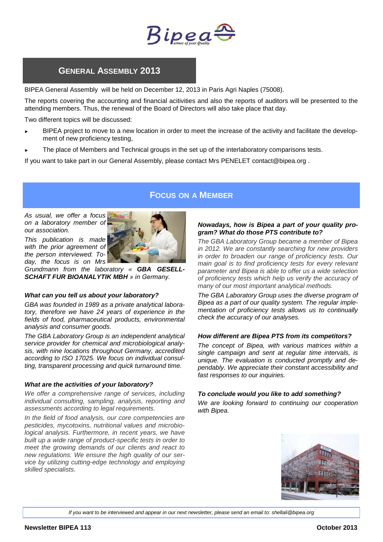

### **GENERAL ASSEMBLY 2013**

BIPEA General Assembly will be held on December 12, 2013 in Paris Agri Naples (75008).

The reports covering the accounting and financial acitivities and also the reports of auditors will be presented to the attending members. Thus, the renewal of the Board of Directors will also take place that day.

Two different topics will be discussed:

- BIPEA project to move to a new location in order to meet the increase of the activity and facilitate the development of new proficiency testing,
- The place of Members and Technical groups in the set up of the interlaboratory comparisons tests.

If you want to take part in our General Assembly, please contact Mrs PENELET contact@bipea.org .

### **FOCUS ON A MEMBER**

*As usual, we offer a focus on a laboratory member of our association.* 

*This publication is made with the prior agreement of the person interviewed. Today, the focus is on Mrs* 



*Grundmann from the laboratory « GBA GESELL-SCHAFT FUR BIOANALYTIK MBH » in Germany.*

### *What can you tell us about your laboratory?*

*GBA was founded in 1989 as a private analytical laboratory, therefore we have 24 years of experience in the fields of food, pharmaceutical products, environmental analysis and consumer goods.* 

*The GBA Laboratory Group is an independent analytical service provider for chemical and microbiological analysis, with nine locations throughout Germany, accredited according to ISO 17025. We focus on individual consulting, transparent processing and quick turnaround time.* 

### *What are the activities of your laboratory?*

*We offer a comprehensive range of services, including individual consulting, sampling, analysis, reporting and assessments according to legal requirements.*

*In the field of food analysis, our core competencies are pesticides, mycotoxins, nutritional values and microbiological analysis. Furthermore, in recent years, we have built up a wide range of product-specific tests in order to meet the growing demands of our clients and react to new regulations. We ensure the high quality of our service by utilizing cutting-edge technology and employing skilled specialists.* 

### *Nowadays, how is Bipea a part of your quality program? What do those PTS contribute to?*

*The GBA Laboratory Group became a member of Bipea in 2012. We are constantly searching for new providers in order to broaden our range of proficiency tests. Our main goal is to find proficiency tests for every relevant parameter and Bipea is able to offer us a wide selection of proficiency tests which help us verify the accuracy of many of our most important analytical methods.* 

*The GBA Laboratory Group uses the diverse program of Bipea as a part of our quality system. The regular implementation of proficiency tests allows us to continually check the accuracy of our analyses.*

#### *How different are Bipea PTS from its competitors?*

*The concept of Bipea, with various matrices within a single campaign and sent at regular time intervals, is unique. The evaluation is conducted promptly and dependably. We appreciate their constant accessibility and fast responses to our inquiries.*

#### *To conclude would you like to add something?*

*We are looking forward to continuing our cooperation with Bipea.*



*If you want to be interviewed and appear in our next newsletter, please send an email to: shellali@bipea.org*